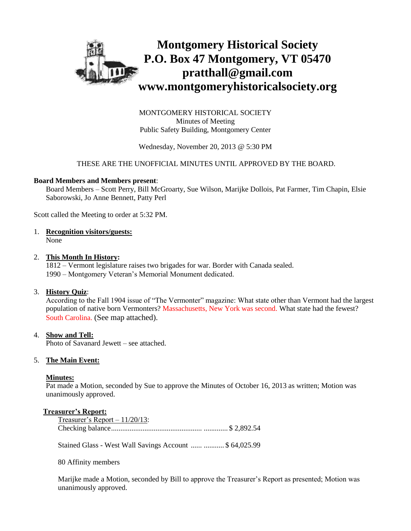

MONTGOMERY HISTORICAL SOCIETY Minutes of Meeting Public Safety Building, Montgomery Center

Wednesday, November 20, 2013 @ 5:30 PM

### THESE ARE THE UNOFFICIAL MINUTES UNTIL APPROVED BY THE BOARD.

### **Board Members and Members present**:

Board Members – Scott Perry, Bill McGroarty, Sue Wilson, Marijke Dollois, Pat Farmer, Tim Chapin, Elsie Saborowski, Jo Anne Bennett, Patty Perl

Scott called the Meeting to order at 5:32 PM.

1. **Recognition visitors/guests:**

None

### 2. **This Month In History:**

1812 – Vermont legislature raises two brigades for war. Border with Canada sealed. 1990 – Montgomery Veteran's Memorial Monument dedicated.

## 3. **History Quiz**:

According to the Fall 1904 issue of "The Vermonter" magazine: What state other than Vermont had the largest population of native born Vermonters? Massachusetts, New York was second. What state had the fewest? South Carolina. (See map attached).

## 4. **Show and Tell:**

Photo of Savanard Jewett – see attached.

## 5. **The Main Event:**

#### **Minutes:**

Pat made a Motion, seconded by Sue to approve the Minutes of October 16, 2013 as written; Motion was unanimously approved.

#### **Treasurer's Report:**

| Treasurer's Report $-11/20/13$ : |  |
|----------------------------------|--|
|                                  |  |

Stained Glass - West Wall Savings Account ...... ........... \$ 64,025.99

80 Affinity members

Marijke made a Motion, seconded by Bill to approve the Treasurer's Report as presented; Motion was unanimously approved.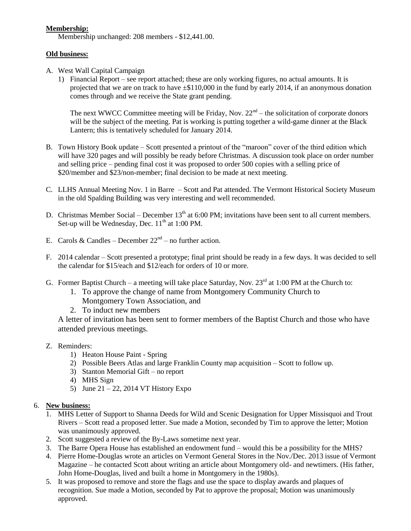# **Membership:**

Membership unchanged: 208 members - \$12,441.00.

# **Old business:**

- A. West Wall Capital Campaign
	- 1) Financial Report see report attached; these are only working figures, no actual amounts. It is projected that we are on track to have ±\$110,000 in the fund by early 2014, if an anonymous donation comes through and we receive the State grant pending.

The next WWCC Committee meeting will be Friday, Nov.  $22<sup>nd</sup>$  – the solicitation of corporate donors will be the subject of the meeting. Pat is working is putting together a wild-game dinner at the Black Lantern; this is tentatively scheduled for January 2014.

- B. Town History Book update Scott presented a printout of the "maroon" cover of the third edition which will have 320 pages and will possibly be ready before Christmas. A discussion took place on order number and selling price – pending final cost it was proposed to order 500 copies with a selling price of \$20/member and \$23/non-member; final decision to be made at next meeting.
- C. LLHS Annual Meeting Nov. 1 in Barre Scott and Pat attended. The Vermont Historical Society Museum in the old Spalding Building was very interesting and well recommended.
- D. Christmas Member Social December  $13<sup>th</sup>$  at 6:00 PM; invitations have been sent to all current members. Set-up will be Wednesday, Dec.  $11<sup>th</sup>$  at 1:00 PM.
- E. Carols & Candles December  $22<sup>nd</sup>$  no further action.
- F. 2014 calendar Scott presented a prototype; final print should be ready in a few days. It was decided to sell the calendar for \$15/each and \$12/each for orders of 10 or more.
- G. Former Baptist Church a meeting will take place Saturday, Nov.  $23<sup>rd</sup>$  at 1:00 PM at the Church to:
	- 1. To approve the change of name from Montgomery Community Church to Montgomery Town Association, and
	- 2. To induct new members

A letter of invitation has been sent to former members of the Baptist Church and those who have attended previous meetings.

# Z. Reminders:

- 1) Heaton House Paint Spring
- 2) Possible Beers Atlas and large Franklin County map acquisition Scott to follow up.
- 3) Stanton Memorial Gift no report
- 4) MHS Sign
- 5) June  $21 22$ , 2014 VT History Expo

# 6. **New business:**

- 1. MHS Letter of Support to Shanna Deeds for Wild and Scenic Designation for Upper Missisquoi and Trout Rivers – Scott read a proposed letter. Sue made a Motion, seconded by Tim to approve the letter; Motion was unanimously approved.
- 2. Scott suggested a review of the By-Laws sometime next year.
- 3. The Barre Opera House has established an endowment fund would this be a possibility for the MHS?
- 4. Pierre Home-Douglas wrote an articles on Vermont General Stores in the Nov./Dec. 2013 issue of Vermont Magazine – he contacted Scott about writing an article about Montgomery old- and newtimers. (His father, John Home-Douglas, lived and built a home in Montgomery in the 1980s).
- 5. It was proposed to remove and store the flags and use the space to display awards and plaques of recognition. Sue made a Motion, seconded by Pat to approve the proposal; Motion was unanimously approved.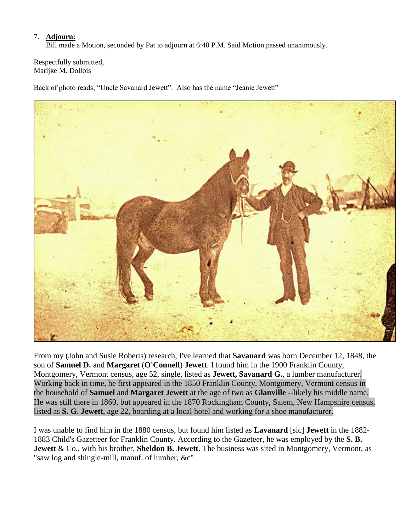# 7. **Adjourn:**

Bill made a Motion, seconded by Pat to adjourn at 6:40 P.M. Said Motion passed unanimously.

Respectfully submitted, Marijke M. Dollois

Back of photo reads; "Uncle Savanard Jewett". Also has the name "Jeanie Jewett"



From my (John and Susie Roberts) research, I've learned that **Savanard** was born December 12, 1848, the son of **Samuel D.** and **Margaret** (**O'Connell**) **Jewett**. I found him in the 1900 Franklin County, Montgomery, Vermont census, age 52, single, listed as **Jewett, Savanard G.**, a lumber manufacturer. Working back in time, he first appeared in the 1850 Franklin County, Montgomery, Vermont census in the household of **Samuel** and **Margaret Jewett** at the age of two as **Glanville** --likely his middle name. He was still there in 1860, but appeared in the 1870 Rockingham County, Salem, New Hampshire census, listed as **S. G. Jewett**, age 22, boarding at a local hotel and working for a shoe manufacturer.

I was unable to find him in the 1880 census, but found him listed as **Lavanard** [sic] **Jewett** in the 1882- 1883 Child's Gazetteer for Franklin County. According to the Gazeteer, he was employed by the **S. B. Jewett** & Co., with his brother, **Sheldon B. Jewett**. The business was sited in Montgomery, Vermont, as "saw log and shingle-mill, manuf. of lumber, &c"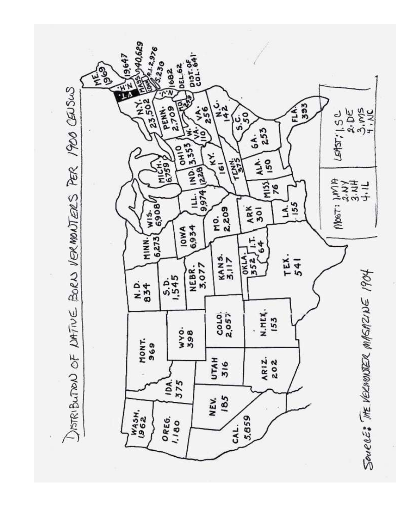